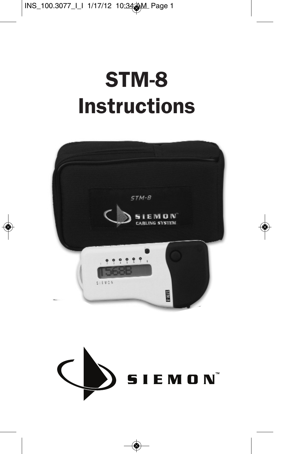# STM-8 **Instructions**



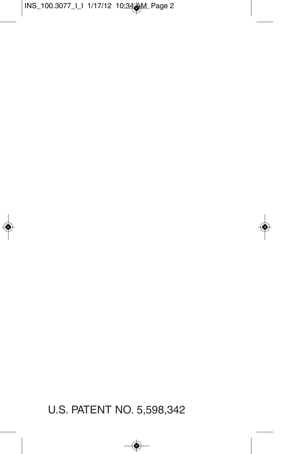### U.S. PATENT NO. 5,598,342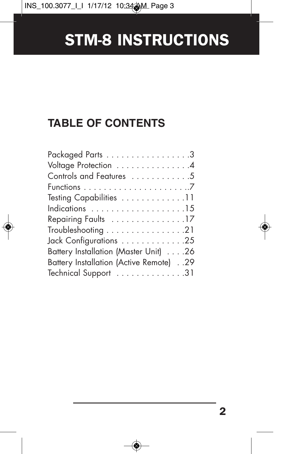### **TABLE OF CONTENTS**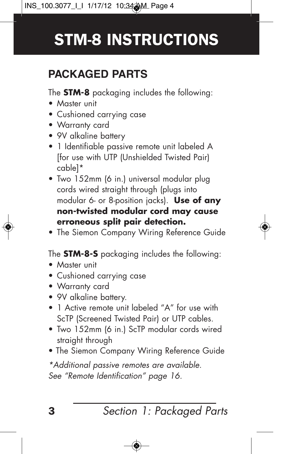### **PACKAGED PARTS**

The **STM-8** packaging includes the following:

- Master unit
- Cushioned carrying case
- Warranty card
- 9V alkaline battery
- 1 Identifiable passive remote unit labeled A [for use with UTP (Unshielded Twisted Pair) cable]\*
- Two 152mm (6 in.) universal modular plug cords wired straight through (plugs into modular 6- or 8-position jacks). **Use of any non-twisted modular cord may cause erroneous split pair detection.**
- The Siemon Company Wiring Reference Guide

The **STM-8-S** packaging includes the following:

- Master unit
- Cushioned carrying case
- Warranty card
- 9V alkaline battery.
- 1 Active remote unit labeled "A" for use with ScTP (Screened Twisted Pair) or UTP cables.
- Two 152mm (6 in.) ScTP modular cords wired straight through
- The Siemon Company Wiring Reference Guide

\*Additional passive remotes are available. See "Remote Identification" page 16.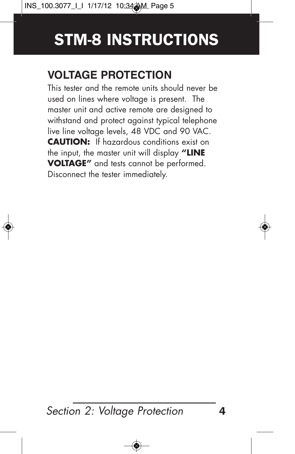### **VOLTAGE PROTECTION**

This tester and the remote units should never be used on lines where voltage is present. The master unit and active remote are designed to withstand and protect against typical telephone live line voltage levels, 48 VDC and 90 VAC. **CAUTION:** If hazardous conditions exist on the input, the master unit will display **"LINE VOLTAGE"** and tests cannot be performed. Disconnect the tester immediately.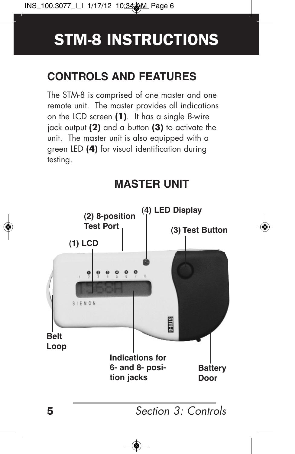### **CONTROLS AND FEATURES**

The STM-8 is comprised of one master and one remote unit. The master provides all indications on the LCD screen **(1)**. It has a single 8-wire jack output **(2)** and a button **(3)** to activate the unit. The master unit is also equipped with a green LED **(4)** for visual identification during testing.

### **MASTER UNIT**

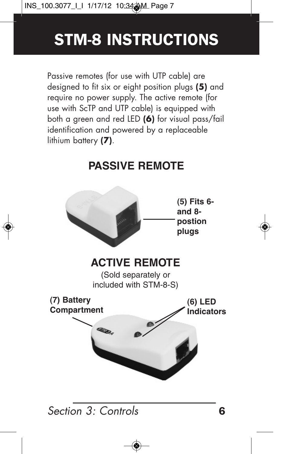Passive remotes (for use with UTP cable) are designed to fit six or eight position plugs **(5)** and require no power supply. The active remote (for use with ScTP and UTP cable) is equipped with both a green and red LED **(6)** for visual pass/fail identification and powered by a replaceable lithium battery **(7)**.

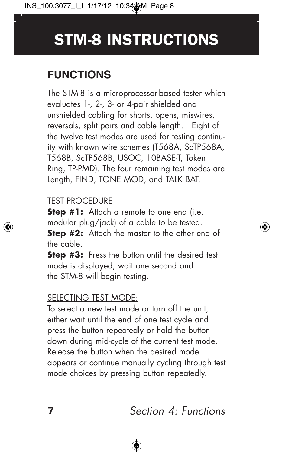### **FUNCTIONS**

The STM-8 is a microprocessor-based tester which evaluates 1-, 2-, 3- or 4-pair shielded and unshielded cabling for shorts, opens, miswires, reversals, split pairs and cable length. Eight of the twelve test modes are used for testing continuity with known wire schemes (T568A, ScTP568A, T568B, ScTP568B, USOC, 10BASE-T, Token Ring, TP-PMD). The four remaining test modes are Length, FIND, TONE MOD, and TALK BAT.

#### TEST PROCEDURE

**Step #1:** Attach a remote to one end (i.e. modular plug/jack) of a cable to be tested. **Step #2:** Attach the master to the other end of the cable.

**Step #3:** Press the button until the desired test mode is displayed, wait one second and the STM-8 will begin testing.

#### SELECTING TEST MODE:

To select a new test mode or turn off the unit, either wait until the end of one test cycle and press the button repeatedly or hold the button down during mid-cycle of the current test mode. Release the button when the desired mode appears or continue manually cycling through test mode choices by pressing button repeatedly.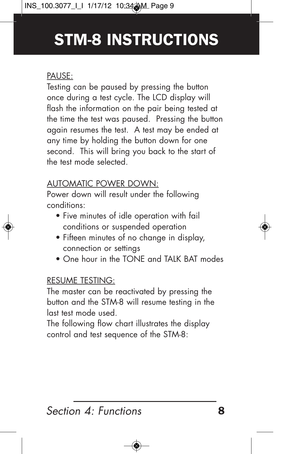#### PAUSE:

Testing can be paused by pressing the button once during a test cycle. The LCD display will flash the information on the pair being tested at the time the test was paused. Pressing the button again resumes the test. A test may be ended at any time by holding the button down for one second. This will bring you back to the start of the test mode selected.

#### AUTOMATIC POWER DOWN:

Power down will result under the following conditions:

- Five minutes of idle operation with fail conditions or suspended operation
- Fifteen minutes of no change in display, connection or settings
- One hour in the TONE and TAIK BAT modes

#### RESUME TESTING:

The master can be reactivated by pressing the button and the STM-8 will resume testing in the last test mode used.

The following flow chart illustrates the display control and test sequence of the STM-8: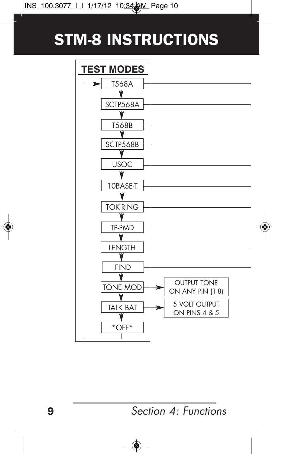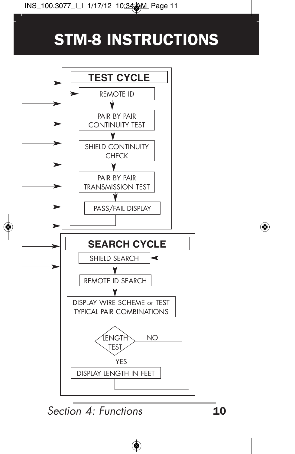

Section  $A<sup>+</sup>$  Functions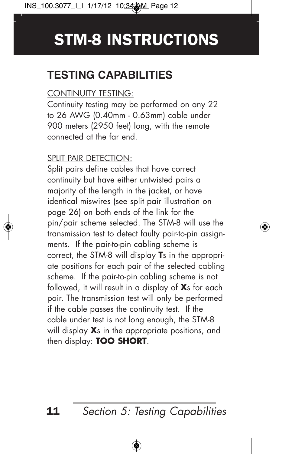### **TESTING CAPABILITIES**

#### CONTINUITY TESTING:

Continuity testing may be performed on any 22 to 26 AWG (0.40mm - 0.63mm) cable under 900 meters (2950 feet) long, with the remote connected at the far end.

#### SPLIT PAIR DETECTION:

Split pairs define cables that have correct continuity but have either untwisted pairs a majority of the length in the jacket, or have identical miswires (see split pair illustration on page 26) on both ends of the link for the pin/pair scheme selected. The STM-8 will use the transmission test to detect faulty pair-to-pin assignments. If the pair-to-pin cabling scheme is correct, the STM-8 will display **T**s in the appropriate positions for each pair of the selected cabling scheme. If the pair-to-pin cabling scheme is not followed, it will result in a display of **X**s for each pair. The transmission test will only be performed if the cable passes the continuity test. If the cable under test is not long enough, the STM-8 will display **X**s in the appropriate positions, and then display: **TOO SHORT**.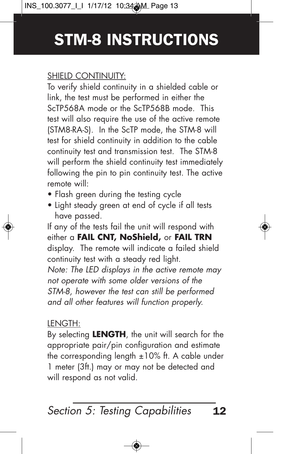#### SHIELD CONTINUITY:

To verify shield continuity in a shielded cable or link, the test must be performed in either the ScTP568A mode or the ScTP568B mode. This test will also require the use of the active remote (STM8-RA-S). In the ScTP mode, the STM-8 will test for shield continuity in addition to the cable continuity test and transmission test. The STM-8 will perform the shield continuity test immediately following the pin to pin continuity test. The active remote will:

- Flash areen during the testing cycle
- Light steady green at end of cycle if all tests have passed.

If any of the tests fail the unit will respond with either a **FAIL CNT, NoShield,** or **FAIL TRN** display. The remote will indicate a failed shield continuity test with a steady red light. Note: The LED displays in the active remote may not operate with some older versions of the STM-8, however the test can still be performed and all other features will function properly.

#### LENGTH:

By selecting **LENGTH**, the unit will search for the appropriate pair/pin configuration and estimate the corresponding length  $\pm 10\%$  ft. A cable under 1 meter (3ft.) may or may not be detected and will respond as not valid.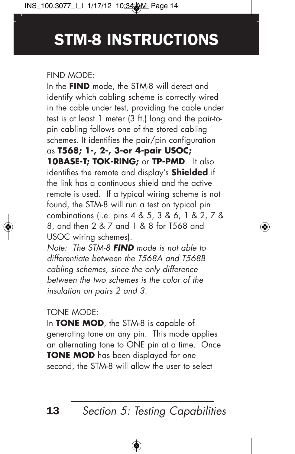#### FIND MODE:

In the **FIND** mode, the STM-8 will detect and identify which cabling scheme is correctly wired in the cable under test, providing the cable under test is at least 1 meter (3 ft.) long and the pair-topin cabling follows one of the stored cabling schemes. It identifies the pair/pin configuration as **T568; 1-, 2-, 3-or 4-pair USOC; 10BASE-T; TOK-RING;** or **TP-PMD**. It also identifies the remote and display's **Shielded** if the link has a continuous shield and the active remote is used. If a typical wiring scheme is not found, the STM-8 will run a test on typical pin combinations (i.e. pins 4 & 5, 3 & 6, 1 & 2, 7 & 8, and then 2 & 7 and 1 & 8 for T568 and USOC wiring schemes).

Note: The STM-8 **FIND** mode is not able to differentiate between the T568A and T568B cabling schemes, since the only difference between the two schemes is the color of the insulation on pairs 2 and 3.

#### TONE MODE:

In **TONE MOD**, the STM-8 is capable of generating tone on any pin. This mode applies an alternating tone to ONE pin at a time. Once **TONE MOD** has been displayed for one second, the STM-8 will allow the user to select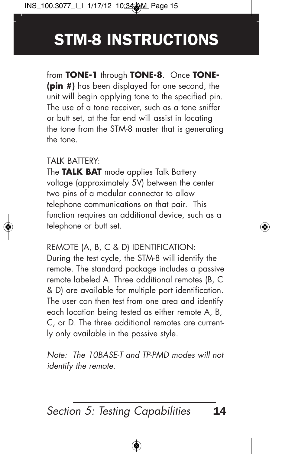from **TONE-1** through **TONE-8**. Once **TONE- (pin #)** has been displayed for one second, the unit will begin applying tone to the specified pin. The use of a tone receiver, such as a tone sniffer or butt set, at the far end will assist in locating the tone from the STM-8 master that is generating the tone.

#### TALK BATTERY:

The **TALK BAT** mode applies Talk Battery voltage (approximately 5V) between the center two pins of a modular connector to allow telephone communications on that pair. This function requires an additional device, such as a telephone or butt set.

#### REMOTE (A, B, C & D) IDENTIFICATION:

During the test cycle, the STM-8 will identify the remote. The standard package includes a passive remote labeled A. Three additional remotes (B, C & D) are available for multiple port identification. The user can then test from one area and identify each location being tested as either remote A, B, C, or D. The three additional remotes are currently only available in the passive style.

Note: The 10BASE-T and TP-PMD modes will not identify the remote.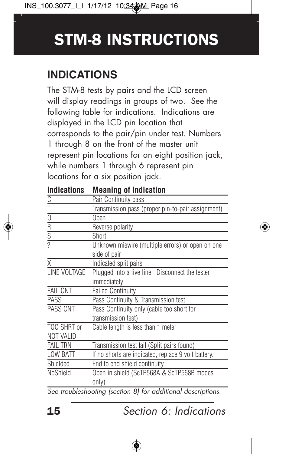### **INDICATIONS**

The STM-8 tests by pairs and the LCD screen will display readings in groups of two. See the following table for indications. Indications are displayed in the LCD pin location that corresponds to the pair/pin under test. Numbers 1 through 8 on the front of the master unit represent pin locations for an eight position jack, while numbers 1 through 6 represent pin locations for a six position jack.

| u.vu                                                                  | modining of manuation                                            |
|-----------------------------------------------------------------------|------------------------------------------------------------------|
|                                                                       | Pair Continuity pass                                             |
| $\frac{C}{T}$ $\frac{C}{C}$ $\frac{C}{R}$ $\frac{C}{S}$ $\frac{C}{C}$ | Transmission pass (proper pin-to-pair assignment)                |
|                                                                       | Open                                                             |
|                                                                       | Reverse polarity                                                 |
|                                                                       | Short                                                            |
|                                                                       | Unknown miswire (multiple errors) or open on one<br>side of pair |
| X                                                                     |                                                                  |
|                                                                       | Indicated split pairs                                            |
| LINE VOLTAGE                                                          | Plugged into a live line. Disconnect the tester                  |
|                                                                       | immediately                                                      |
| <b>FAIL CNT</b>                                                       | <b>Failed Continuity</b>                                         |
| <b>PASS</b>                                                           | Pass Continuity & Transmission test                              |
| PASS CNT                                                              | Pass Continuity only (cable too short for                        |
|                                                                       | transmission test)                                               |
| TOO SHRT or                                                           | Cable length is less than 1 meter                                |
| <b>NOT VALID</b>                                                      |                                                                  |
| <b>FAIL TRN</b>                                                       | Transmission test fail (Split pairs found)                       |
| <b>LOW BATT</b>                                                       | If no shorts are indicated, replace 9 volt battery.              |
| Shielded                                                              | End to end shield continuity                                     |
| NoShield                                                              | Open in shield (ScTP568A & ScTP568B modes                        |
|                                                                       | only)                                                            |
|                                                                       | See troubleshooting (section 8) for additional descriptions.     |

**Indications Meaning of Indication**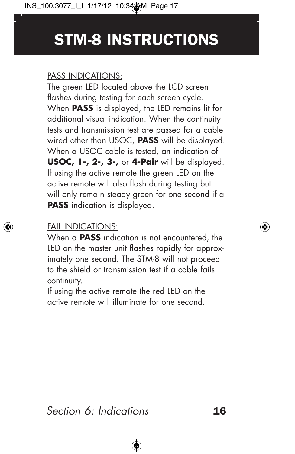#### PASS INDICATIONS:

The green LED located above the LCD screen flashes during testing for each screen cycle. When **PASS** is displayed, the LED remains lit for additional visual indication. When the continuity tests and transmission test are passed for a cable wired other than USOC, **PASS** will be displayed. When a USOC cable is tested, an indication of **USOC, 1-, 2-, 3-,** or **4-Pair** will be displayed. If using the active remote the green LED on the active remote will also flash during testing but will only remain steady green for one second if a **PASS** indication is displayed.

#### FAIL INDICATIONS:

When a **PASS** indication is not encountered, the LED on the master unit flashes rapidly for approximately one second. The STM-8 will not proceed to the shield or transmission test if a cable fails continuity.

If using the active remote the red LED on the active remote will illuminate for one second.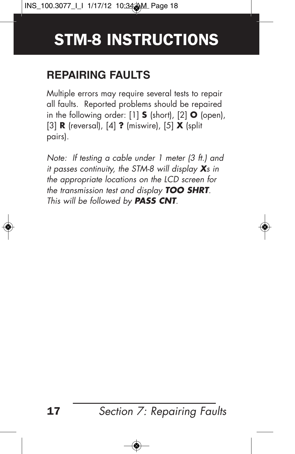### **REPAIRING FAULTS**

Multiple errors may require several tests to repair all faults. Reported problems should be repaired in the following order: [1] **S** (short), [2] **O** (open), [3] **R** (reversal), [4] **?** (miswire), [5] **X** (split pairs).

Note: If testing a cable under 1 meter (3 ft.) and it passes continuity, the STM-8 will display **<sup>X</sup>**s in the appropriate locations on the LCD screen for the transmission test and display **TOO SHRT**. This will be followed by **PASS CNT**.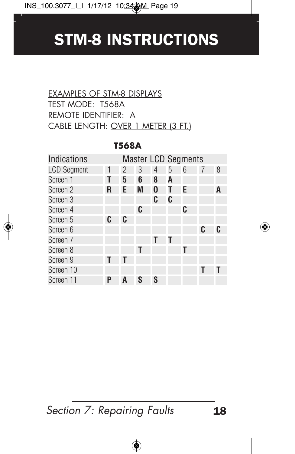#### EXAMPLES OF STM-8 DISPLAYS TEST MODE: T568A REMOTE IDENTIFIER: A CABLE LENGTH: OVER 1 METER (3 FT.)

| Indications        |   |   |   |   |   | <b>Master LCD Segments</b> |   |   |
|--------------------|---|---|---|---|---|----------------------------|---|---|
| <b>LCD Segment</b> | 1 | 2 | 3 | 4 | 5 | 6                          | 7 | 8 |
| Screen 1           |   | 5 | 6 | 8 | A |                            |   |   |
| Screen 2           | R | Е | M | 0 |   | Е                          |   | A |
| Screen 3           |   |   |   | C | C |                            |   |   |
| Screen 4           |   |   | C |   |   | C                          |   |   |
| Screen 5           | C | C |   |   |   |                            |   |   |
| Screen 6           |   |   |   |   |   |                            | C |   |
| Screen 7           |   |   |   | Τ |   |                            |   |   |
| Screen 8           |   |   | T |   |   |                            |   |   |
| Screen 9           | Τ |   |   |   |   |                            |   |   |
| Screen 10          |   |   |   |   |   |                            | T |   |
| Screen 11          | Р | A | S | S |   |                            |   |   |

#### **T568A**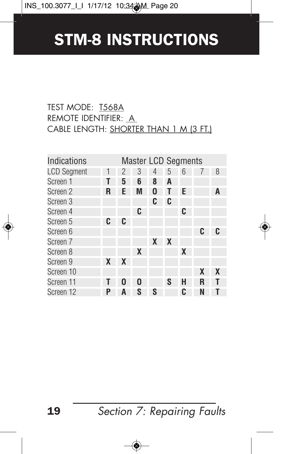#### TEST MODE: T568A REMOTE IDENTIFIER: A CABLE LENGTH: SHORTER THAN 1 M (3 FT.)

| Indications        |   |   | <b>Master LCD Segments</b> |   |                  |   |   |                  |
|--------------------|---|---|----------------------------|---|------------------|---|---|------------------|
| <b>LCD Segment</b> | 1 | 2 | 3                          | 4 | 5                | 6 |   | 8                |
| Screen 1           | Τ | 5 | 6                          | 8 | A                |   |   |                  |
| Screen 2           | R | Ε | M                          | 0 | T                | Е |   | A                |
| Screen 3           |   |   |                            | C | C                |   |   |                  |
| Screen 4           |   |   | C                          |   |                  | C |   |                  |
| Screen 5           | C | C |                            |   |                  |   |   |                  |
| Screen 6           |   |   |                            |   |                  |   | C | C                |
| Screen 7           |   |   |                            | X | $\boldsymbol{X}$ |   |   |                  |
| Screen 8           |   |   | X                          |   |                  | X |   |                  |
| Screen 9           | X | X |                            |   |                  |   |   |                  |
| Screen 10          |   |   |                            |   |                  |   | X | $\boldsymbol{X}$ |
| Screen 11          |   | 0 | 0                          |   | S                | Н | R |                  |
| Screen 12          | р | A | S                          | S |                  | C | N |                  |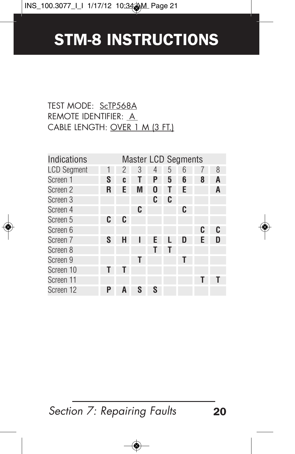#### TEST MODE: ScTP568A REMOTE IDENTIFIER: A CABLE LENGTH: OVER 1 M (3 FT.)

| Indications        |   |   |   |   |   | <b>Master LCD Segments</b> |   |   |
|--------------------|---|---|---|---|---|----------------------------|---|---|
| <b>LCD Segment</b> | 1 | 2 | 3 | 4 | 5 | ჩ                          |   | 8 |
| Screen 1           | S | C |   | Ρ | 5 | 6                          | 8 | A |
| Screen 2           | R | Ε | M | 0 |   | Е                          |   | A |
| Screen 3           |   |   |   | C | C |                            |   |   |
| Screen 4           |   |   | C |   |   | C                          |   |   |
| Screen 5           | C | C |   |   |   |                            |   |   |
| Screen 6           |   |   |   |   |   |                            | C | C |
| Screen 7           | S | Н |   | F |   | D                          | F |   |
| Screen 8           |   |   |   |   |   |                            |   |   |
| Screen 9           |   |   | Τ |   |   | Т                          |   |   |
| Screen 10          | Τ |   |   |   |   |                            |   |   |
| Screen 11          |   |   |   |   |   |                            |   |   |
| Screen 12          | P | A | S | S |   |                            |   |   |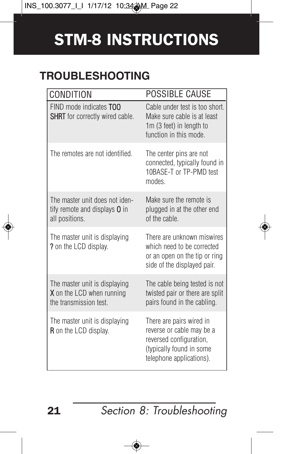### **TROUBLESHOOTING**

| CONDITION                                                                                   | POSSIBLE CAUSE                                                                                                                           |
|---------------------------------------------------------------------------------------------|------------------------------------------------------------------------------------------------------------------------------------------|
| FIND mode indicates TOO<br>SHRT for correctly wired cable.                                  | Cable under test is too short.<br>Make sure cable is at least<br>1m (3 feet) in length to<br>function in this mode                       |
| The remotes are not identified.                                                             | The center pins are not<br>connected, typically found in<br>10BASE-T or TP-PMD test<br>modes                                             |
| The master unit does not iden-<br>tify remote and displays <b>O</b> in<br>all positions.    | Make sure the remote is<br>plugged in at the other end<br>of the cable.                                                                  |
| The master unit is displaying<br>? on the LCD display.                                      | There are unknown miswires<br>which need to be corrected<br>or an open on the tip or ring<br>side of the displayed pair.                 |
| The master unit is displaying<br><b>X</b> on the LCD when running<br>the transmission test. | The cable being tested is not<br>twisted pair or there are split<br>pairs found in the cabling.                                          |
| The master unit is displaying<br><b>R</b> on the LCD display.                               | There are pairs wired in<br>reverse or cable may be a<br>reversed configuration.<br>(typically found in some<br>telephone applications). |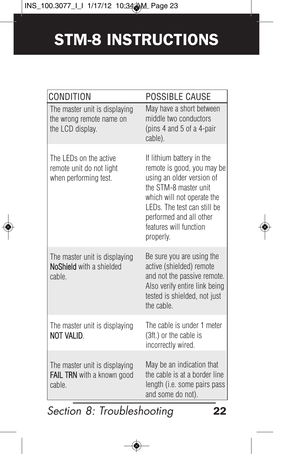| CONDITION                                                                     | POSSIBLE CAUSE                                                                                                                                                                                                                               |
|-------------------------------------------------------------------------------|----------------------------------------------------------------------------------------------------------------------------------------------------------------------------------------------------------------------------------------------|
| The master unit is displaying<br>the wrong remote name on<br>the LCD display. | May have a short between<br>middle two conductors<br>(pins 4 and 5 of a 4-pair<br>cable).                                                                                                                                                    |
| The I FDs on the active<br>remote unit do not light<br>when performing test.  | If lithium battery in the<br>remote is good, you may be<br>using an older version of<br>the STM-8 master unit<br>which will not operate the<br>LEDs. The test can still be<br>performed and all other<br>features will function<br>properly. |
| The master unit is displaying<br><b>NoShield</b> with a shielded<br>cable.    | Be sure you are using the<br>active (shielded) remote<br>and not the passive remote.<br>Also verify entire link being<br>tested is shielded, not just<br>the cable.                                                                          |
| The master unit is displaying<br>NOT VALID.                                   | The cable is under 1 meter<br>(3ft.) or the cable is<br>incorrectly wired.                                                                                                                                                                   |
| The master unit is displaying<br>FAIL TRN with a known good<br>cable.         | May be an indication that<br>the cable is at a border line<br>length (i.e. some pairs pass<br>and some do not).                                                                                                                              |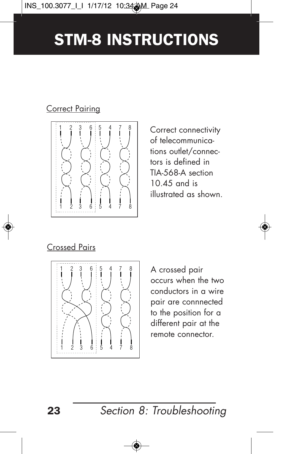#### Correct Pairing



Correct connectivity of telecommunications outlet/connectors is defined in TIA-568-A section 10.45 and is illustrated as shown.

#### Crossed Pairs



A crossed pair occurs when the two conductors in a wire pair are connnected to the position for a different pair at the remote connector.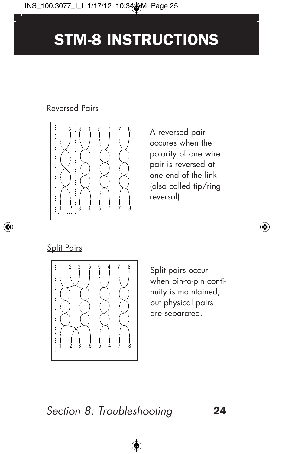#### Reversed Pairs



A reversed pair occures when the polarity of one wire pair is reversed at one end of the link (also called tip/ring reversal).

#### Split Pairs



Split pairs occur when pin-to-pin continuity is maintained, but physical pairs are separated.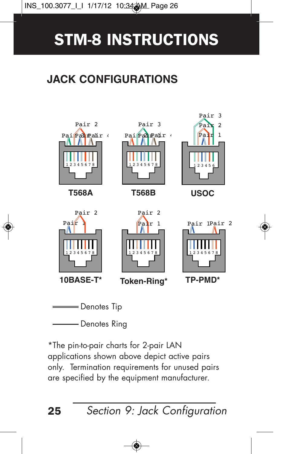### **JACK CONFIGURATIONS**



- Denotes Ring

\*The pin-to-pair charts for 2-pair LAN applications shown above depict active pairs only. Termination requirements for unused pairs are specified by the equipment manufacturer.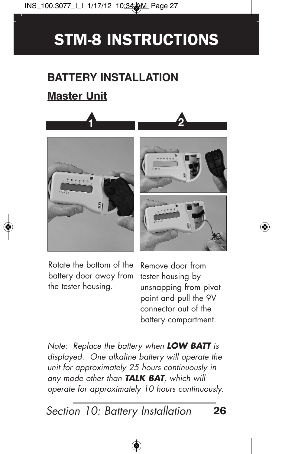### **BATTERY INSTALLATION**

### **Master Unit**





Rotate the bottom of the battery door away from the tester housing.

Remove door from tester housing by unsnapping from pivot point and pull the 9V connector out of the battery compartment.

Note: Replace the battery when **LOW BATT** is displayed. One alkaline battery will operate the unit for approximately 25 hours continuously in any mode other than **TALK BAT**, which will operate for approximately 10 hours continuously.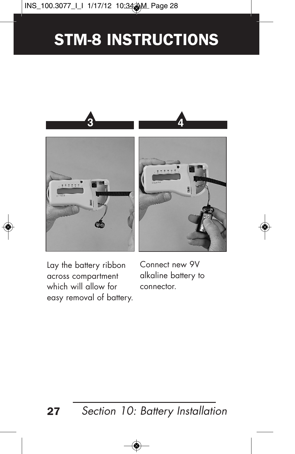

Lay the battery ribbon across compartment which will allow for easy removal of battery. Connect new 9V alkaline battery to connector.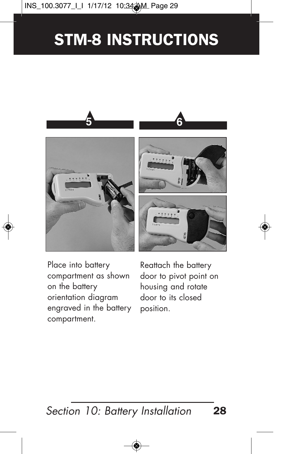

Place into battery compartment as shown on the battery orientation diagram engraved in the battery compartment.

Reattach the battery door to pivot point on housing and rotate door to its closed position.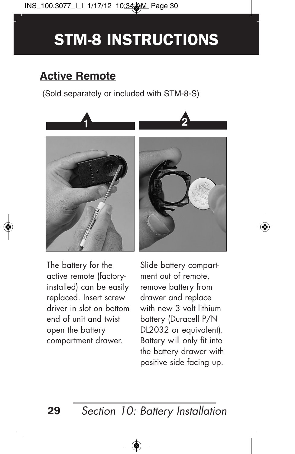### **Active Remote**

(Sold separately or included with STM-8-S)



The battery for the active remote (factoryinstalled) can be easily replaced. Insert screw driver in slot on bottom end of unit and twist open the battery compartment drawer.

Slide battery compartment out of remote, remove battery from drawer and replace with new 3 volt lithium battery (Duracell P/N DL2032 or equivalent). Battery will only fit into the battery drawer with positive side facing up.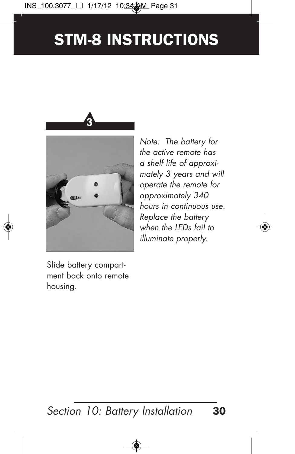

Note: The battery for the active remote has a shelf life of approximately 3 years and will operate the remote for approximately 340 hours in continuous use. Replace the battery when the **LEDs** fail to illuminate properly.

Slide battery compartment back onto remote housing.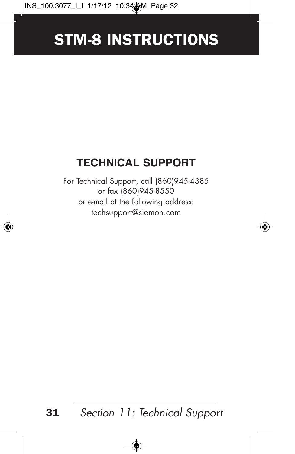### **TECHNICAL SUPPORT**

For Technical Support, call (860)945-4385 or fax (860)945-8550 or e-mail at the following address: techsupport@siemon.com